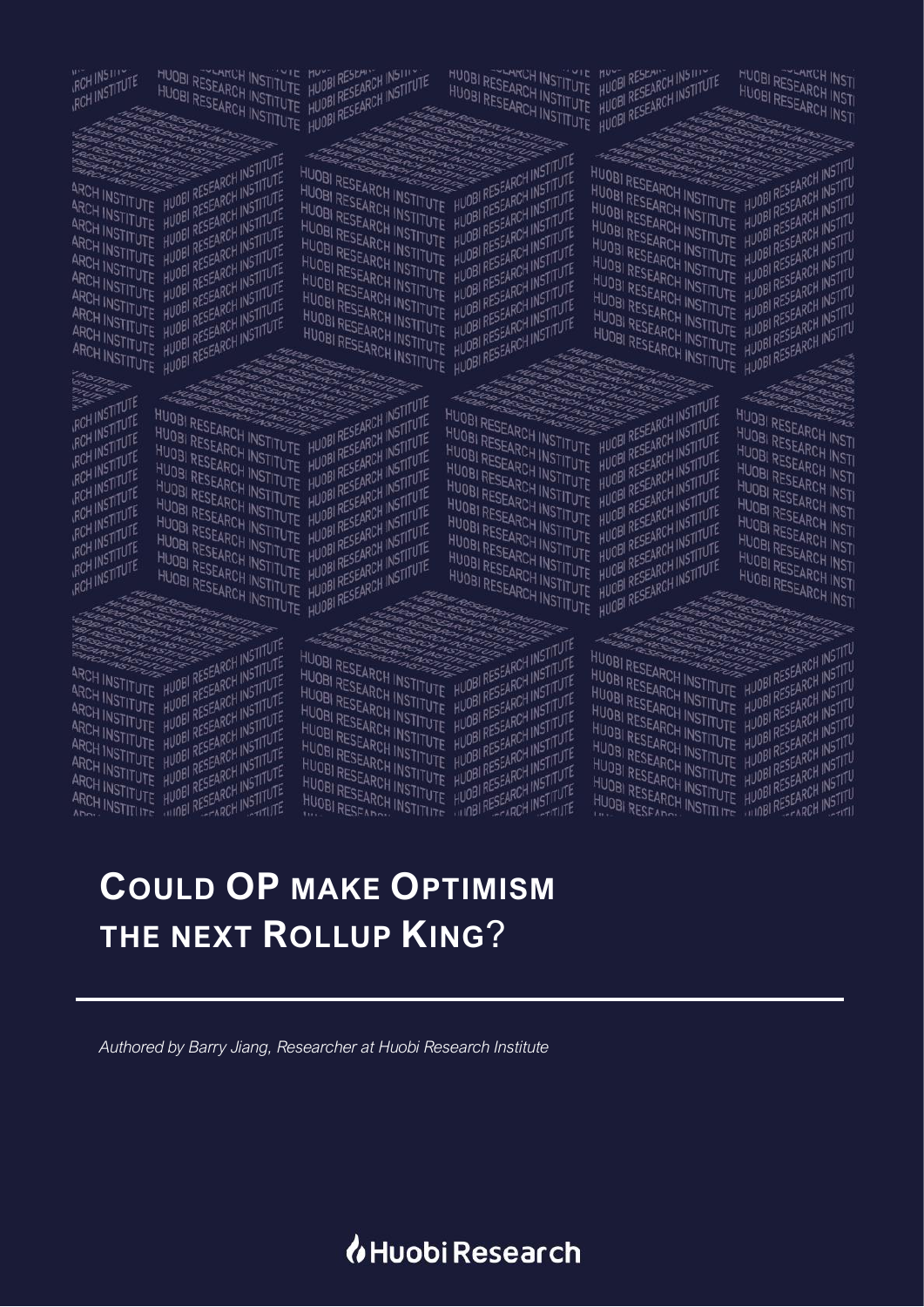# *I*Huobi Research

*Authored by Barry Jiang, Researcher at Huobi Research Institute*

# **COULD OP MAKE OPTIMISM THE NEXT ROLLUP KING**?

# ARCH INSTITUTE HUDBI RESEARCH INSTITUTE<br>ARCH INSTITUTE HUDBI RESEARCH INSTITUTE<br>ARCH INSTITUTE HUDBI RESEARCH INSTITUTE<br>ARCH INSTITUTE HUDBI RESEARCH INSTITUTE<br>ARCH INSTITUTE HUDBI RESEARCH INSTITUTE

RCH INSTITUTE

**ROH INSTITUTE** 

RCH INSTITUTE

RCH INSTITUTE

RCH INSTITUTE

RCH INSTITUTE

RCH INSTITUTE

RCH INSTITUTE

RCH INSTITUTE

**RCH INSTITUTE** 

RCH INSTITUTE

ARCH INSTITUTE HUDBI RESEARCH INSTITUTE

ARCH INSTITUTE HUDBI RESEARCH INSTITUTE

ARCH INSTITUTE HUBB RESEARCH INSTITUTE<br>ARCH INSTITUTE HUBB RESEARCH INSTITUTE<br>ARCH INSTITUTE HUBB RESEARCH INSTITUTE<br>ARCH INSTITUTE HUBB RESEARCH INSTITUTE<br>ARCH INSTITUTE HUBB RESEARCH INSTITUTE<br>ARCH INSTITUTE HUBB RESEARC

ARCH INSTITUTE HUDBI RESEARCH INSTITUTE<br>ARCH INSTITUTE HUDBI RESEARCH INSTITUTE<br>ARCH INSTITUTE HUDBI RESEARCH INSTITUTE<br>ARCH INSTITUTE HUDBI RESEARCH INSTITUTE

ARCH INSTITUTE HUDBI RESEARCH INSTITUTE<br>ARCH INSTITUTE HUDBI RESEARCH INSTITUTE<br>ARCH INSTITUTE HUDBI RESEARCH INSTITUTE<br>ARCH INSTITUTE HUDBI RESEARCH INSTITUTE

ARCH INSTITUTE HUDBI RESEARCH INSTITUTE<br>ARCH INSTITUTE HUDBI RESEARCH INSTITUTE<br>ARCH INSTITUTE HUDBI RESEARCH INSTITUTE<br>ARCH INSTITUTE HUDBI RESEARCH INSTITUTE<br>ARCH INSTITUTE HUDBI RESEARCH INSTITUTE

ARCH INSTITUTE HUDBI RESEARCH INSTITUTE<br>ARCH INSTITUTE HUDBI RESEARCH INSTITUTE<br>ARCH INSTITUTE HUDBI RESEARCH INSTITUTE

ARCH INSTITUTE HUDBI RESEARCH INSTITUTE

ARCH INSTITUTE HUDBI RESEARCH INSTITUTE

ARCH INSTITUTE HUDBI RESEARCH INSTITUTE<br>ARCH INSTITUTE HUDBI RESEARCH INSTITUTE<br>ARCH INSTITUTE HUDBI RESEARCH INSTITUTE<br>ARCH INSTITUTE HUDBI RESEARCH INSTITUTE<br>ARCH INSTITUTE HUDBI RESEARCH INSTITUTE

ARCH INSTITUTE HUDBI RESEARCH INSTITUTE<br>ARCH INSTITUTE HUDBI RESEARCH INSTITUTE<br>ARCH INSTITUTE HUDBI RESEARCH INSTITUTE<br>ARCH INSTITUTE HUDBI RESEARCH INSTITUTE<br>ARCH INSTITUTE HUDBI RESEARCH INSTITUTE

ARCH INSTITUTE HUBB RESEARCH INSTITUTE<br>ARCH INSTITUTE HUBB RESEARCH INSTITUTE<br>ARCH INSTITUTE HUBB RESEARCH INSTITUTE<br>ARCH INSTITUTE HUBB RESEARCH INSTITUTE<br>ARCH INSTITUTE HUBB RESEARCH INSTITUTE

ARCH INSTITUTE HUDBI RESEARCH INSTITUTE<br>ARCH INSTITUTE HUDBI RESEARCH INSTITUTE<br>ARCH INSTITUTE HUDBI RESEARCH INSTITUTE<br>ARCH INSTITUTE HUDBI RESEARCH INSTITUTE

HUOBI RESEARCH INSTITUTE HUOBI RESEARCH INSTITUTE<br>HUOBI RESEARCH INSTITUTE HUOBI RESEARCH INSTITUTE

HUOBI RESEARCH INSTITUTE HUOBI RESEARCH INSTITUTE

HUOBI RESEARCH INSTITUTE HUOBI RESEARCH INSTITUTE

HUOBI RESEARCH INSTITUTE HUOBI RESEARCH INSTITUTE

HUOBI RESEARCH INSTITUTE HUOBI RESEARCH INSTITUTE<br>HUOBI RESEARCH INSTITUTE HUOBI RESEARCH INSTITUTE<br>HUOBI RESEARCH INSTITUTE HUOBI RESEARCH INSTITUTE<br>HUOBI RESEARCH INSTITUTE HUOBI RESEARCH INSTITUTE

HUOBI RESEARCH INSTITUTE HUOBI RESEARCH INSTITUTE<br>HUOBI RESEARCH INSTITUTE HUOBI RESEARCH INSTITUTE<br>HUOBI RESEARCH INSTITUTE HUOBI RESEARCH INSTITUTE<br>HUOBI RESEARCH INSTITUTE HUOBI RESEARCH INSTITUTE

HUOBI RESEARCH INSTITUTE HUOBI RESEARCH INSTITUTE HUOBI RESEARCH INSTITUTE HUOBI RESEARCH INSTITUTE

HUOBI RESEARCH INSTITUTE HUOBI RESEARCH INSTITUTE<br>HUOBI RESEARCH INSTITUTE HUOBI RESEARCH INSTITUTE<br>HUOBI RESEARCH INSTITUTE HUOBI RESEARCH INSTITUTE<br>HUOBI RESEARCH INSTITUTE HUOBI RESEARCH INSTITUTE

HUOBI RESEARCH INSTITUTE HUOBI RESEARCH INSTITUTE<br>HUOBI RESEARCH INSTITUTE HUOBI RESEARCH INSTITUTE<br>HUOBI RESEARCH INSTITUTE HUOBI RESEARCH INSTITUTE<br>HUOBI RESEARCH INSTITUTE HUOBI RESEARCH INSTITUTE

HUOBI RESEARCH INSTITUTE HUOBI RESEARCH INSTITUTE<br>HUOBI RESEARCH INSTITUTE HUOBI RESEARCH INSTITUTE<br>HUOBI RESEARCH INSTITUTE HUOBI RESEARCH INSTITUTE<br>HUOBI RESEARCH INSTITUTE HUOBI RESEARCH INSTITUTE

**HUOBI RESEARCH INSTITUTE HUOBI RESEARCH INSTITUTE**<br>HUOBI RESEARCH INSTITUTE HUOBI RESEARCH INSTITUTE<br>HUOBI RESEARCH INSTITUTE HUOBI RESEARCH INSTITUTE<br>SESEARCH INSTITUTE HUOBI RESEARCH INSTITUTE HUOBI RESEARCH INSTITUTE HUOBI RESEARCH INSTITUTE<br>HUOBI RESEARCH INSTITUTE HUOBI RESEARCH INSTITUTE HUOBI RESEARCH INSTITUTE HUOBI RESEARCH INSTITUTE HUOBI RESEARCH INSTITUTE HUOBI RESEARCH INSTITUTE HUOBI RESEARCH INSTITUTE HUOBI RESEARCH INSTITUTE HUOBI RESEARCH INSTITUTE HUOBI RESEARCH INSTITUTE HUOBI RESEARCH INSTITUTE HUOBI RESEARCH INSTITUTE HUOBI RESEARCH INSTITUTE HUOBI RESEARCH INSTITUTE HUOBI RESEARCH INSTITUTE<br>HUOBI RESEARCH INSTITUTE HUOBI RESEARCH INSTITUTE<br>HUOBI RESEARCH INSTITUTE HUOBI RESEARCH INSTITUTE<br>HUOBI RESEARCH INSTITUTE HUOBI RESEARCH INSTITUTE HUOBI RESEARCH INSTITUTE HUOBI RESEARCH INSTITUTE<br>HUOBI RESEARCH INSTITUTE HUOBI RESEARCH INSTITUTE<br>HUOBI RESEARCH INSTITUTE HUOBI RESEARCH INSTITUTE<br>HUOBI RESEARCH INSTITUTE HUOBI RESEARCH INSTITUTE HUOBI RESEARCH INSTITUTE HUOBI RESEARCH INSTITUTE<br>HUOBI RESEARCH INSTITUTE HUOBI RESEARCH INSTITUTE<br>HUOBI RESEARCH INSTITUTE HUOBI RESEARCH INSTITUTE<br>HUOBI RESEARCH INSTITUTE HUOBI RESEARCH INSTITUTE HUOBI RESEARCH INSTITUTE HUOBI RESEARCH INSTITUTE<br>HUOBI RESEARCH INSTITUTE HUOBI RESEARCH INSTITUTE<br>HUOBI RESEARCH INSTITUTE HUOBI RESEARCH INSTITUTE<br>HUOBI RESEARCH INSTITUTE HUOBI RESEARCH INSTITUTE

HUOBI RESEARCH INSTITUTE HUOBI RESEARCH INSTITUTE

HUOBI RESEARCH INSTITUTE HUOBI RESEARCH INSTITUTE

HUOBI RESEARCH INSTITUTE HUOBI RESEARCH INSTITUTE<br>HUOBI RESEARCH INSTITUTE HUOBI RESEARCH INSTITUTE<br>HUOBI RESEARCH INSTITUTE HUOBI RESEARCH INSTITUTE<br>HUOBI RESEARCH INSTITUTE HUOBI RESEARCH INSTITUTE

HUOBI RESEARCH INSTITUTE HUOBI RESEARCH INSTITUTE<br>HUOBI RESEARCH INSTITUTE HUOBI RESEARCH INSTITUTE<br>HUOBI RESEARCH INSTITUTE HUOBI RESEARCH INSTITUTE<br>HUOBI RESEARCH INSTITUTE HUOBI RESEARCH INSTITUTE

HUOBI RESEARCH INSTITUTE HUOBI RESEARCH INSTITUTE<br>HUOBI RESEARCH INSTITUTE HUOBI RESEARCH INSTITUTE<br>HUOBI RESEARCH INSTITUTE HUOBI RESEARCH INSTITUTE<br>HUOBI RESEARCH INSTITUTE HUOBI RESEARCH INSTITUTE

HUOBI RESEARCH INSTITUTE HUOBI RESEARCH INSTITUTE<br>HUOBI RESEARCH INSTITUTE HUOBI RESEARCH INSTITUTE<br>HUOBI RESEARCH INSTITUTE HUOBI RESEARCH INSTITUTE<br>HUOBI RESEARCH INSTITUTE HUOBI RESEARCH INSTITUTE

HUOBI RESEARCH INSTITUTE HUOBI RESEARCH INSTITUTE<br>HUOBI RESEARCH INSTITUTE HUOBI RESEARCH INSTITUTE<br>HUOBI RESEARCH INSTITUTE HUOBI RESEARCH INSTITUTE<br>HUOBI RESEARCH INSTITUTE HUOBI RESEARCH INSTITUTE

HUOBI RESEARCH INSTITUTE HUOBI RESEARCH INSTITUTE<br>HUOBI RESEARCH INSTITUTE HUOBI RESEARCH INSTITUTE<br>HUOBI RESEARCH INSTITUTE HUOBI RESEARCH INSTITUTE<br>HUOBI RESEARCH INSTITUTE HUOBI RESEARCH INSTITUTE

HUOBI RESEARCH INSTITUTE HUOBI RESEARCH INSTITUTE<br>HUOBI RESEARCH INSTITUTE HUOBI RESEARCH INSTITUTE<br>HUOBI RESEARCH INSTITUTE HUOBI RESEARCH INSTITUTE<br>SESEARCH INSTITUTE HUOBI RESEARCH INSTITUTE

HUOBI RESEARCH INSTITUTE HUOBI RESEARCH INSTITUTE

HUOBI RESEARCH INSTITUTE HUOBI RESEARCH INSTITUTE<br>HUOBI RESEARCH INSTITUTE HUOBI RESEARCH INSTITUTE<br>HUOBI RESEARCH INSTITUTE HUOBI RESEARCH INSTITUTE<br>SESEARCH INSTITUTE HUOBI RESEARCH INSTITUTE HUOBI RESEARCH INSTITUTE HUOBI RESEARCH INSTITUTE HUOBI RESEARCH INSTITUTE HUOBI RESEARCH INSTITUTE HUOBI RESEARCH INSTITUTE HUOBI RESEARCH INSTITUTE HUOBI RESEARCH INSTITUTE HUOBI RESEARCH INSTITUTE HUOBI RESEARCH INSTITUTE HUOBI RESEARCH INSTITUTE HUOBI RESEARCH INSTITUTE HUOBI RESEARCH INSTITUTE HUOBI RESEARCH INSTITUTE<br>HUOBI RESEARCH INSTITUTE HUOBI RESEARCH INSTITUTE<br>HUOBI RESEARCH INSTITUTE HUOBI RESEARCH INSTITUTE<br>HUOBI RESEARCH INSTITUTE HUOBI RESEARCH INSTITU HUOBI RESEARCH INSTITUTE HUOBI RESEARCH INSTITUTE<br>HUOBI RESEARCH INSTITUTE HUOBI RESEARCH INSTITUTE<br>HUOBI RESEARCH INSTITUTE HUOBI RESEARCH INSTITUTE<br>HUOBI RESEARCH INSTITUTE HUOBI RESEARCH INSTITU HUOBI RESEARCH INSTITUTE HUOBI RESEARCH INSTITUTE<br>HUOBI RESEARCH INSTITUTE HUOBI RESEARCH INSTITUTE<br>HUOBI RESEARCH INSTITUTE HUOBI RESEARCH INSTITUTE<br>HUOBI RESEARCH INSTITUTE HUOBI RESEARCH INSTITU

HUOBI RESEARCH INSTITUTE HUOBI RESEARCH INSTITUTE HUOBI RESEARCH INSTITUTE HUOBI RESEARCH INSTITUTE AND RESEARCH INSTITUTE AND RESEARCH INSTITUTE AND RESEARCH INSTITUTE AND RESEARCH INSTITUTE AND RESEARCH INSTITUTE AND RESEARCH INSTITUTE AND RESEARCH INSTITUTE AND RESEARC HUOBI RESEARCH INSTITUTE HUOBI RESEARCH INSTITUTE<br>HUOBI RESEARCH INSTITUTE HUOBI RESEARCH INSTITUTE<br>HUOBI RESEARCH INSTITUTE HUOBI RESEARCH INSTITUTE<br>HUOBI RESEARCH INSTITUTE HUOBI RESEARCH INSTITUTE HUOBI RESEARCH INSTITUTE HUOBI RESEARCH INSTITUTE<br>HUOBI RESEARCH INSTITUTE HUOBI RESEARCH INSTITUTE<br>HUOBI RESEARCH INSTITUTE HUOBI RESEARCH INSTITUTE<br>HUOBI RESEARCH INSTITUTE HUOBI RESEARCH INSTITUTE HUOBI RESEARCH INSTITUTE HUOBI RESEARCH INSTITUTE<br>HUOBI RESEARCH INSTITUTE HUOBI RESEARCH INSTITUTE<br>HUOBI RESEARCH INSTITUTE HUOBI RESEARCH INSTITUTE<br>HUOBI RESEARCH INSTITUTE HUOBI RESEARCH INSTITUTE HUOBI RESEARCH INSTITUTE HUOBI RESEARCH INSTITUTE<br>HUOBI RESEARCH INSTITUTE HUOBI RESEARCH INSTITUTE<br>HUOBI RESEARCH INSTITUTE HUOBI RESEARCH INSTITUTE<br>HUOBI RESEARCH INSTITUTE HUOBI RESEARCH INSTITUTE

HUOBI RESEARCH INSTITUTE HUOBI RESEARCH INSTITUDED HUOBI RESEARCH INSTITUTE IN THE MANUSTRES CARCH INSTITUTE IN THE MANUSTRESS PARK IN THE MANUSTRESS IN THE MANUSTRESS PARK IN THE MANUSTRESS PARK IN THE MANUSTRESS PARK IN THE MANUSTRESS PARK IN THE MANUSTRESS PARK IN THE M HUOBI RESEARCH INSTITUS<br>HUOBI RESEARCH INSTITUS<br>HUOBI RESEARCH INSTITUS HUOBI RESEARCH INSTITUTE RESEARCH INSTITUTE HUOBI RESEARCH INSTITUTE IN THE MANUSTRESE ARCH INSTITUTE HUOBI RESEARCH INSTITUDED HUOBI RESEARCH INSTITUTE HUOBI RESEARCH INSTITUDED

HUOBI RESEARCH INSTITUTE<br>HUOBI RESEARCH INSTITUTE HUOBI RESEARCH INSTITUTE<br>HUOBI RESEARCH INSTITUTE HUOBI RESEARCH INSTITUTE<br>HUOBI RESEARCH INSTITUTE HUOBI RESEARCH INSTITU

**HUOBI RESEARCH INSTITUTE HUOBI RESEARCH INSTITUTE**<br>HUOBI RESEARCH INSTITUTE HUOBI RESEARCH INSTITUTE<br>HUOBI RESEARCH INSTITUTE HUOBI RESEARCH INSTITUTE<br>HUOBI RESEARCH INSTITUTE HUOBI RESEARCH INSTITU

HUOBI RESEARCH INSTI

HUOBI RESEARCH INSTITUTE HUOBI RESEARCH INSTITUTE HUOBI RESEARCH INSTITUTE HUOBI RESEARCH INSTITUTE HUOBI RESEARCH INSTITUTE HUOBI RESEARCH INSTITUTE HUOBI RESEARCH INSTITUTE **HUOBI RESEARCH INSTITUTE HUOBI RESEARCH INSTITUTE**<br>HUOBI RESEARCH INSTITUTE HUOBI RESEARCH INSTITUTE<br>HUOBI RESEARCH INSTITUTE HUOBI RESEARCH INSTITUTE<br>HUOBI RESEARCH INSTITUTE HUOBI RESEARCH INSTITU HUOBI RESEARCH INSTITUTE HUOBI RESEARCH INSTITUTE<br>HUOBI RESEARCH INSTITUTE HUOBI RESEARCH INSTITUTE<br>HUOBI RESEARCH INSTITUTE HUOBI RESEARCH INSTITUTE<br>HUOBI RESEARCH INSTITUTE HUOBI RESEARCH INSTITU **HUOBI RESEARCH INSTITUTE HUOBI RESEARCH INSTITUTE HUOBI RESEARCH INSTITUTE HUOBI RESEARCH INSTITUTE HUOBI RESEARCH INSTITUTE HUOBI RESEARCH INSTITUTE HUOBI RESEARCH INSTITUTE HUOBI RESEARCH INSTITUTE HUOBI RESEARCH INSTIT** HUOBI RESEARCH INSTITUTE HUOBI RESEARCH INSTITUTE<br>HUOBI RESEARCH INSTITUTE HUOBI RESEARCH INSTITUTE<br>HUOBI RESEARCH INSTITUTE HUOBI RESEARCH INSTITUTE<br>HUOBI RESEARCH INSTITUTE HUOBI RESEARCH INSTITU HUOBI RESEARCH INSTITUTE<br>HUOBI RESEARCH INSTITUTE HUOBI RESEARCH INSTITUTE<br>HUOBI RESEARCH INSTITUTE HUOBI RESEARCH INSTITUT<br>HUOBI RESEARCH INSTITUTE HUOBI RESEARCH INSTITUT TUOBI RESEARCH INSTITUTE HUOBI RESEARCH INSTITUTE<br>HUOBI RESEARCH INSTITUTE HUOBI RESEARCH INSTITUTE<br>HUOBI RESEARCH INSTITUTE HUOBI RESEARCH INSTITUTE<br>HUOBI RESEARCH INSTITUTE HUOBI RESEARCH INSTITU **HUOBI RESEARCH INSTITUTE HUOBI RESEARCH INSTITUTE**<br>HUOBI RESEARCH INSTITUTE HUOBI RESEARCH INSTITUTE<br>HUOBI RESEARCH INSTITUTE HUOBI RESEARCH INSTITUTE<br>PRESEARCH INSTITUTE HUOBI RESEARCH INSTITUTE HUOBI RESEARCH INSTITUTE HUOBI RESEARCH INSTITUTE

SEARCH INSTITUTE HUDE RESEAL HUOBI RESEARCH INSTITUTE HUOBI RESEARCH INSTITUTE HUOBI RESEARCH INSTITUTE HUOBI RESEARCH INSTITUTE HUOBI RESEARCH INSTITUTE HUOBI RESEARCH INSTITUTE

HUOBI RESEARCH INSTITUDE RESEARCH INSTITUDE HUOBI RESEARCH INSTI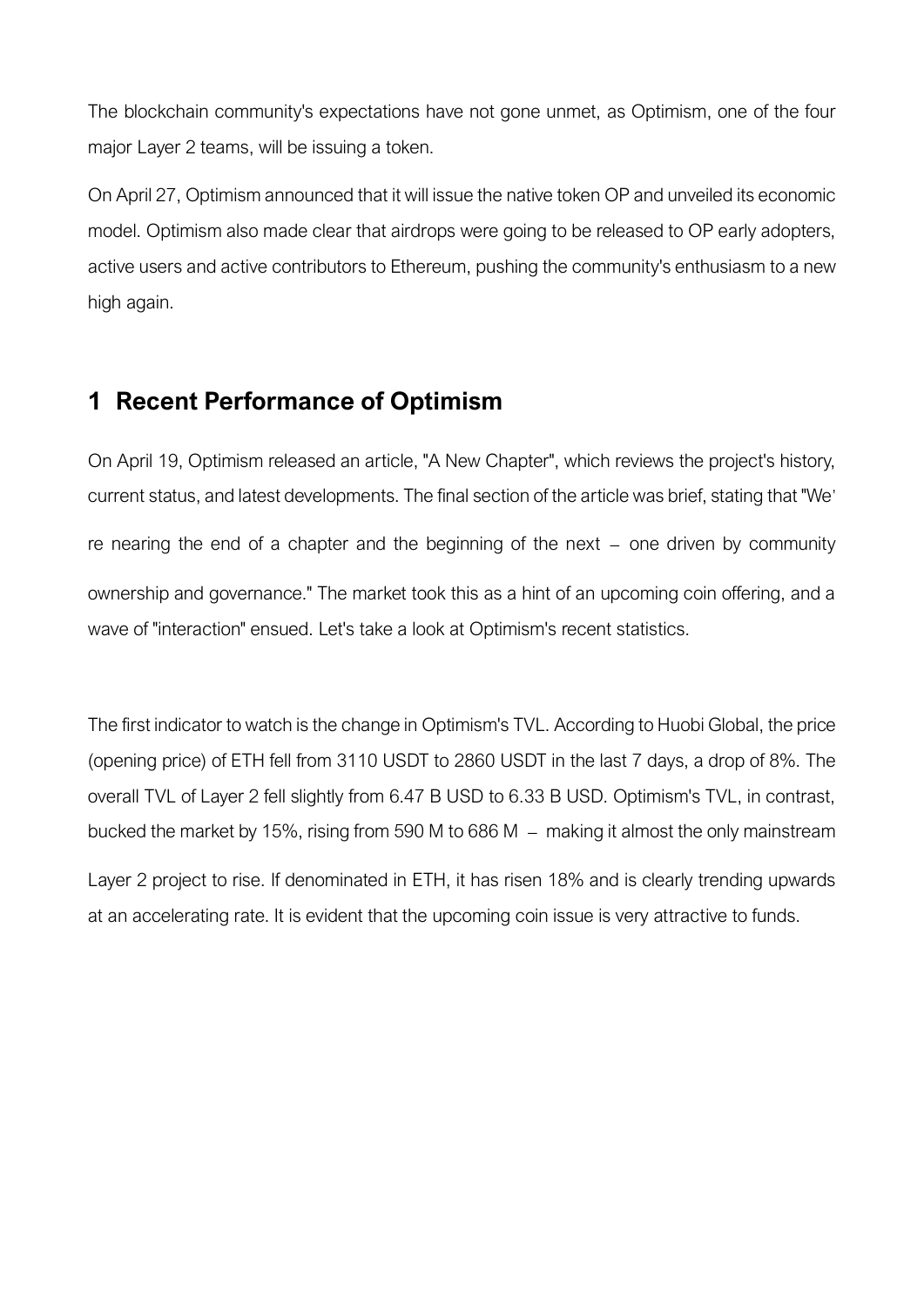The blockchain community's expectations have not gone unmet, as Optimism, one of the four major Layer 2 teams, will be issuing a token.

On April 27, Optimism announced that it will issue the native token OP and unveiled its economic model. Optimism also made clear that airdrops were going to be released to OP early adopters, active users and active contributors to Ethereum, pushing the community's enthusiasm to a new high again.

# **1 Recent Performance of Optimism**

On April 19, Optimism released an article, "A New Chapter", which reviews the project's history, current status, and latest developments. The final section of the article was brief, stating that "We' re nearing the end of a chapter and the beginning of the next – one driven by community ownership and governance." The market took this as a hint of an upcoming coin offering, and a wave of "interaction" ensued. Let's take a look at Optimism's recent statistics.

The first indicator to watch is the change in Optimism's TVL. According to Huobi Global, the price (opening price) of ETH fell from 3110 USDT to 2860 USDT in the last 7 days, a drop of 8%. The overall TVL of Layer 2 fell slightly from 6.47 B USD to 6.33 B USD. Optimism's TVL, in contrast, bucked the market by 15%, rising from 590 M to 686 M – making it almost the only mainstream

Layer 2 project to rise. If denominated in ETH, it has risen 18% and is clearly trending upwards at an accelerating rate. It is evident that the upcoming coin issue is very attractive to funds.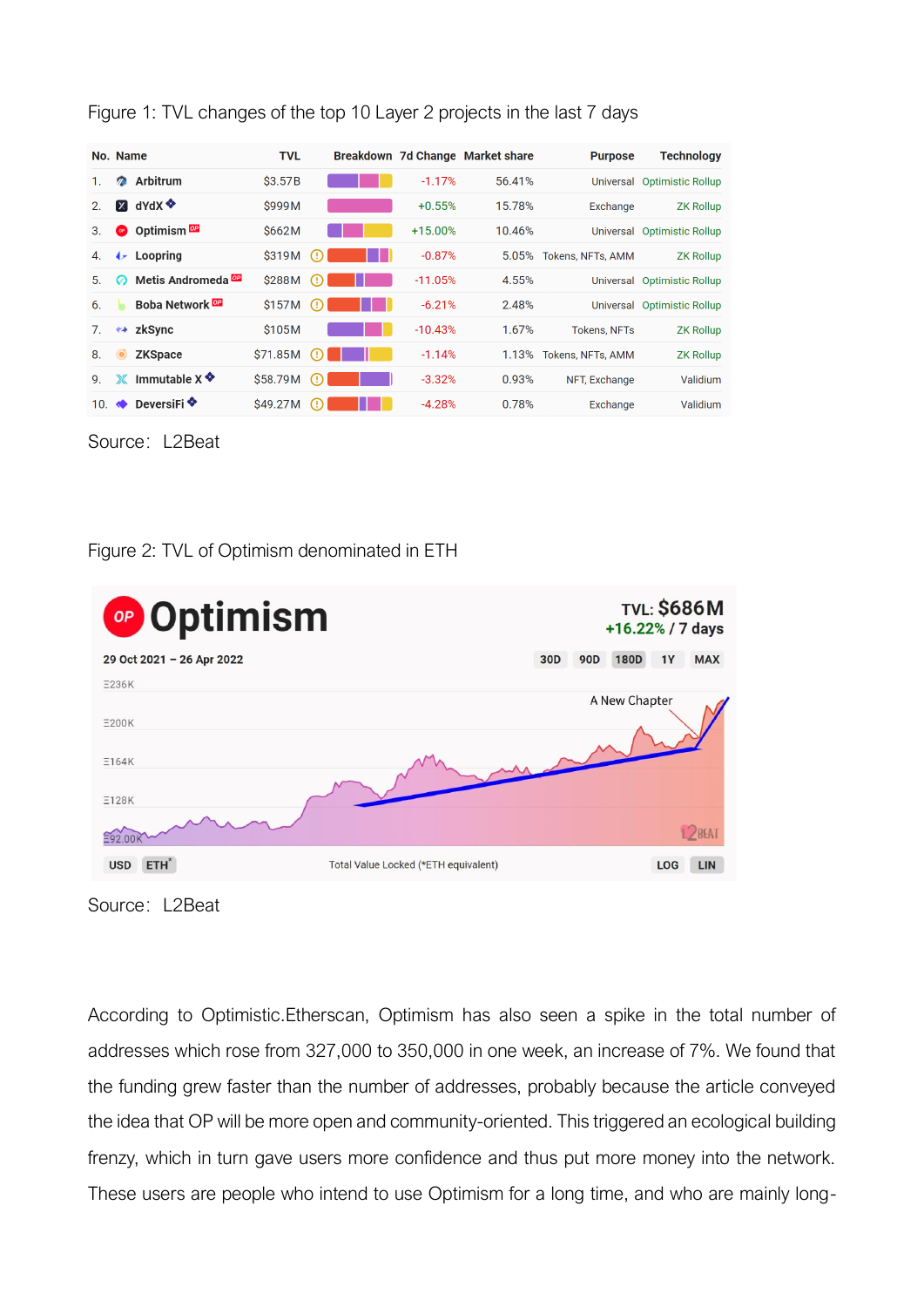| No. Name |               |                                   | <b>TVL</b> |                              |           | Breakdown 7d Change Market share | <b>Purpose</b>      | <b>Technology</b>           |
|----------|---------------|-----------------------------------|------------|------------------------------|-----------|----------------------------------|---------------------|-----------------------------|
|          | 网             | Arbitrum                          | \$3.57B    |                              | $-1.17%$  | 56.41%                           | Universal           | <b>Optimistic Rollup</b>    |
| 2.       | $\mathbf{x}$  | dYdX <sup>❖</sup>                 | \$999M     |                              | $+0.55%$  | 15.78%                           | Exchange            | <b>ZK Rollup</b>            |
| 3.       | OP            | Optimism <sup>op</sup>            | \$662M     |                              | $+15.00%$ | 10.46%                           | Universal           | <b>Optimistic Rollup</b>    |
| 4.       | $\rightarrow$ | Loopring                          | \$319M     | $\left( \cdot \right)$       | $-0.87%$  | 5.05%                            | Tokens, NFTs, AMM   | <b>ZK Rollup</b>            |
| 5.       | ∞             | Metis Andromeda <sup>DP</sup>     | \$288M     | (!)                          | $-11.05%$ | 4.55%                            |                     | Universal Optimistic Rollup |
| 6.       | h             | <b>Boba Network</b> <sup>OP</sup> | \$157M     | $\left( \, \cdot \, \right)$ | $-6.21%$  | 2.48%                            |                     | Universal Optimistic Rollup |
| 7.       |               | $\leftrightarrow$ zkSync          | \$105M     |                              | $-10.43%$ | 1.67%                            | <b>Tokens, NFTs</b> | <b>ZK Rollup</b>            |
| 8.       |               | <b>ZKSpace</b>                    | \$71.85M   | (H)                          | $-1.14%$  | 1.13%                            | Tokens, NFTs, AMM   | <b>ZK Rollup</b>            |
| 9.       | Ж             | Immutable $X$                     | \$58.79M   | $\left( \cdot \right)$       | $-3.32%$  | 0.93%                            | NFT, Exchange       | Validium                    |
| 10.      | $\bullet$     | DeversiFi ❤                       | \$49.27M   | (!)                          | $-4.28%$  | 0.78%                            | Exchange            | Validium                    |

Figure 1: TVL changes of the top 10 Layer 2 projects in the last 7 days

Source: L2Beat





Source: L2Beat

According to Optimistic.Etherscan, Optimism has also seen a spike in the total number of addresses which rose from 327,000 to 350,000 in one week, an increase of 7%. We found that the funding grew faster than the number of addresses, probably because the article conveyed the idea that OP will be more open and community-oriented. This triggered an ecological building frenzy, which in turn gave users more confidence and thus put more money into the network. These users are people who intend to use Optimism for a long time, and who are mainly long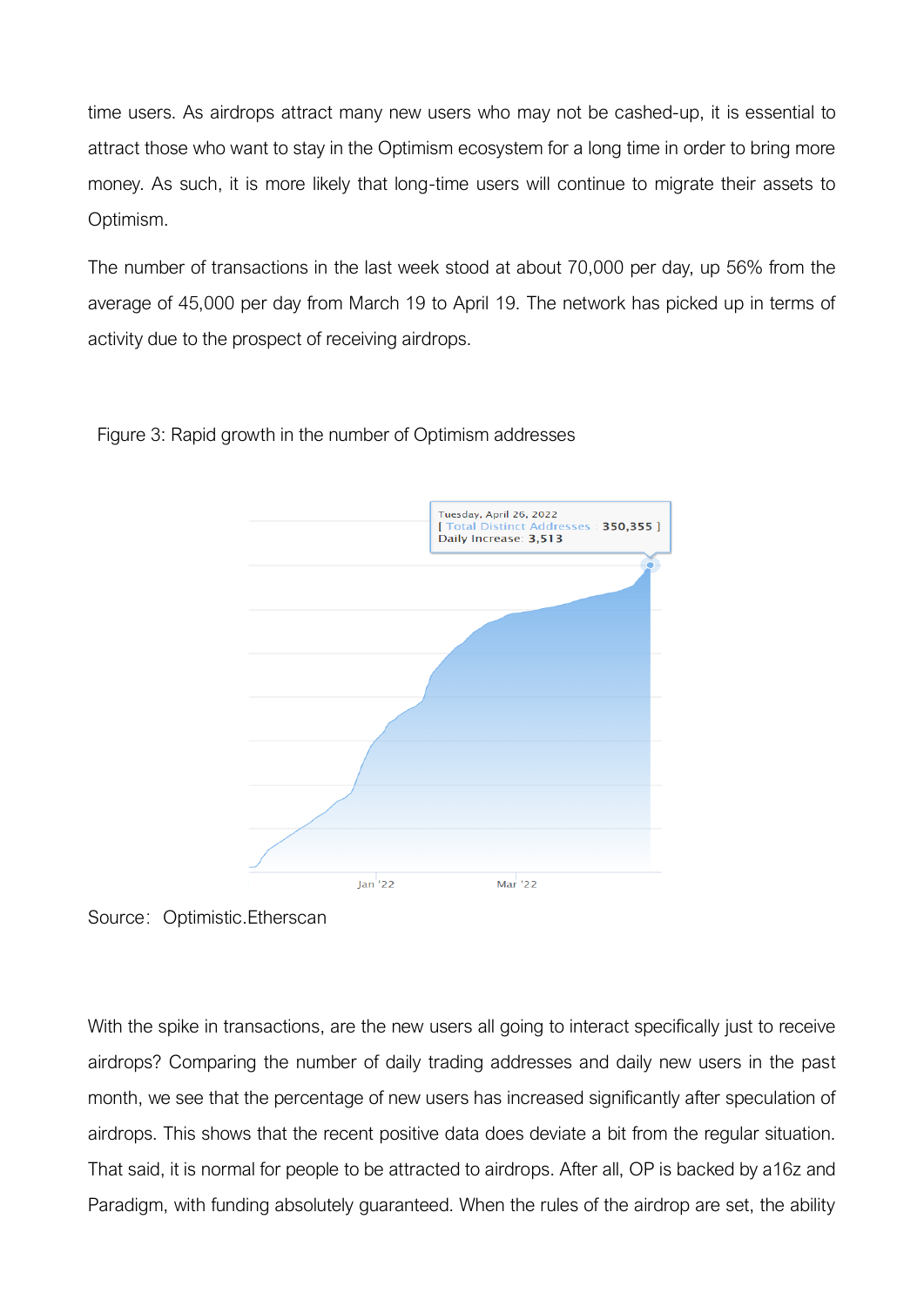time users. As airdrops attract many new users who may not be cashed-up, it is essential to attract those who want to stay in the Optimism ecosystem for a long time in order to bring more money. As such, it is more likely that long-time users will continue to migrate their assets to Optimism.

The number of transactions in the last week stood at about 70,000 per day, up 56% from the average of 45,000 per day from March 19 to April 19. The network has picked up in terms of activity due to the prospect of receiving airdrops.



Figure 3: Rapid growth in the number of Optimism addresses

Source: Optimistic.Etherscan

With the spike in transactions, are the new users all going to interact specifically just to receive airdrops? Comparing the number of daily trading addresses and daily new users in the past month, we see that the percentage of new users has increased significantly after speculation of airdrops. This shows that the recent positive data does deviate a bit from the regular situation. That said, it is normal for people to be attracted to airdrops. After all, OP is backed by a16z and Paradigm, with funding absolutely guaranteed. When the rules of the airdrop are set, the ability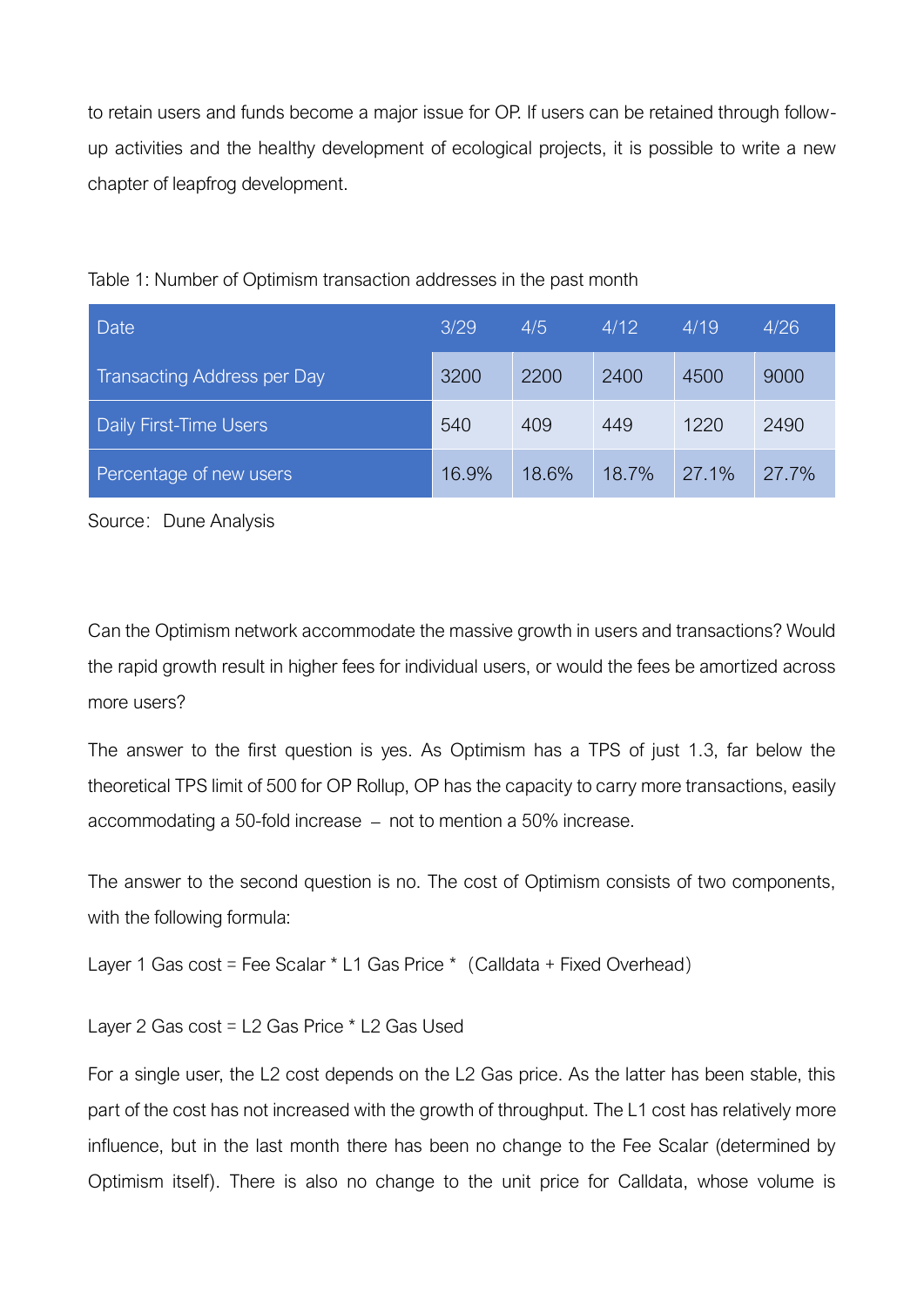to retain users and funds become a major issue for OP. If users can be retained through followup activities and the healthy development of ecological projects, it is possible to write a new chapter of leapfrog development.

| Date                               | 3/29  | 4/5   | 4/12  | 4/19  | 4/26  |
|------------------------------------|-------|-------|-------|-------|-------|
| <b>Transacting Address per Day</b> | 3200  | 2200  | 2400  | 4500  | 9000  |
| <b>Daily First-Time Users</b>      | 540   | 409   | 449   | 1220  | 2490  |
| Percentage of new users            | 16.9% | 18.6% | 18.7% | 27.1% | 27.7% |



Source: Dune Analysis

Can the Optimism network accommodate the massive growth in users and transactions? Would the rapid growth result in higher fees for individual users, or would the fees be amortized across more users?

The answer to the first question is yes. As Optimism has a TPS of just 1.3, far below the theoretical TPS limit of 500 for OP Rollup, OP has the capacity to carry more transactions, easily accommodating a 50-fold increase – not to mention a 50% increase.

The answer to the second question is no. The cost of Optimism consists of two components, with the following formula:

Layer 1 Gas cost = Fee Scalar  $*$  L1 Gas Price  $*$  (Calldata + Fixed Overhead)

Layer 2 Gas cost = L2 Gas Price \* L2 Gas Used

For a single user, the L2 cost depends on the L2 Gas price. As the latter has been stable, this part of the cost has not increased with the growth of throughput. The L1 cost has relatively more influence, but in the last month there has been no change to the Fee Scalar (determined by Optimism itself). There is also no change to the unit price for Calldata, whose volume is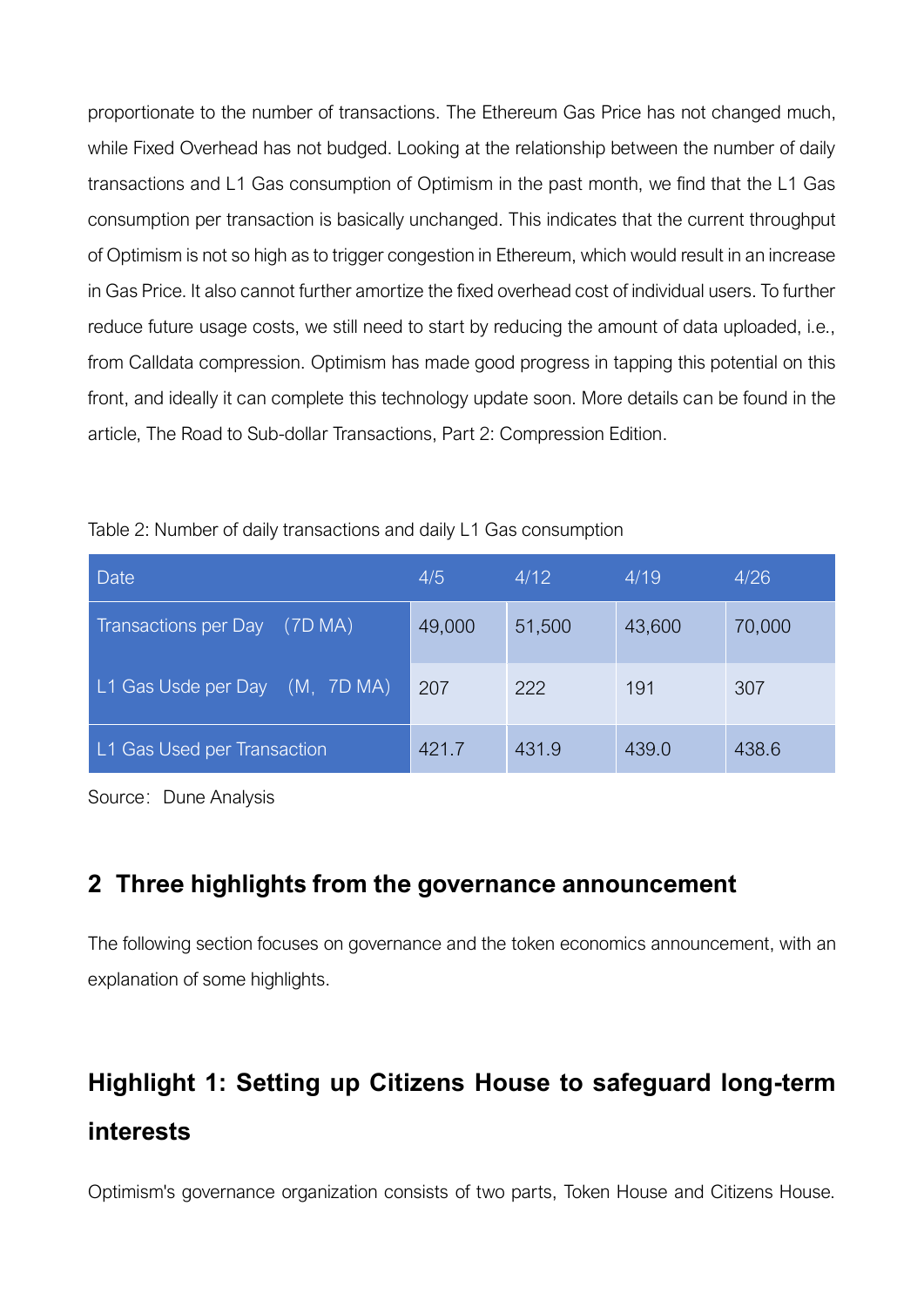proportionate to the number of transactions. The Ethereum Gas Price has not changed much, while Fixed Overhead has not budged. Looking at the relationship between the number of daily transactions and L1 Gas consumption of Optimism in the past month, we find that the L1 Gas consumption per transaction is basically unchanged. This indicates that the current throughput of Optimism is not so high as to trigger congestion in Ethereum, which would result in an increase in Gas Price. It also cannot further amortize the fixed overhead cost of individual users. To further reduce future usage costs, we still need to start by reducing the amount of data uploaded, i.e., from Calldata compression. Optimism has made good progress in tapping this potential on this front, and ideally it can complete this technology update soon. More details can be found in the article, [The Road to Sub-dollar Transactions, Part 2: Compression Edition.](https://medium.com/ethereum-optimism/the-road-to-sub-dollar-transactions-part-2-compression-edition-6bb2890e3e92)

| <b>Date</b>                            | 4/5    | 4/12   | 4/19   | 4/26   |
|----------------------------------------|--------|--------|--------|--------|
| <b>Transactions per Day</b><br>(7D MA) | 49,000 | 51,500 | 43,600 | 70,000 |
| L1 Gas Usde per Day (M, 7D MA)         | 207    | 222    | 191    | 307    |
| L1 Gas Used per Transaction            | 421.7  | 431.9  | 439.0  | 438.6  |

Table 2: Number of daily transactions and daily L1 Gas consumption

Source: Dune Analysis

### **2 Three highlights from the governance announcement**

The following section focuses on governance and the [token economics announcement,](https://community.optimism.io/docs/governance/) with an explanation of some highlights.

# **Highlight 1: Setting up Citizens House to safeguard long-term interests**

Optimism's governance organization consists of two parts, Token House and Citizens House.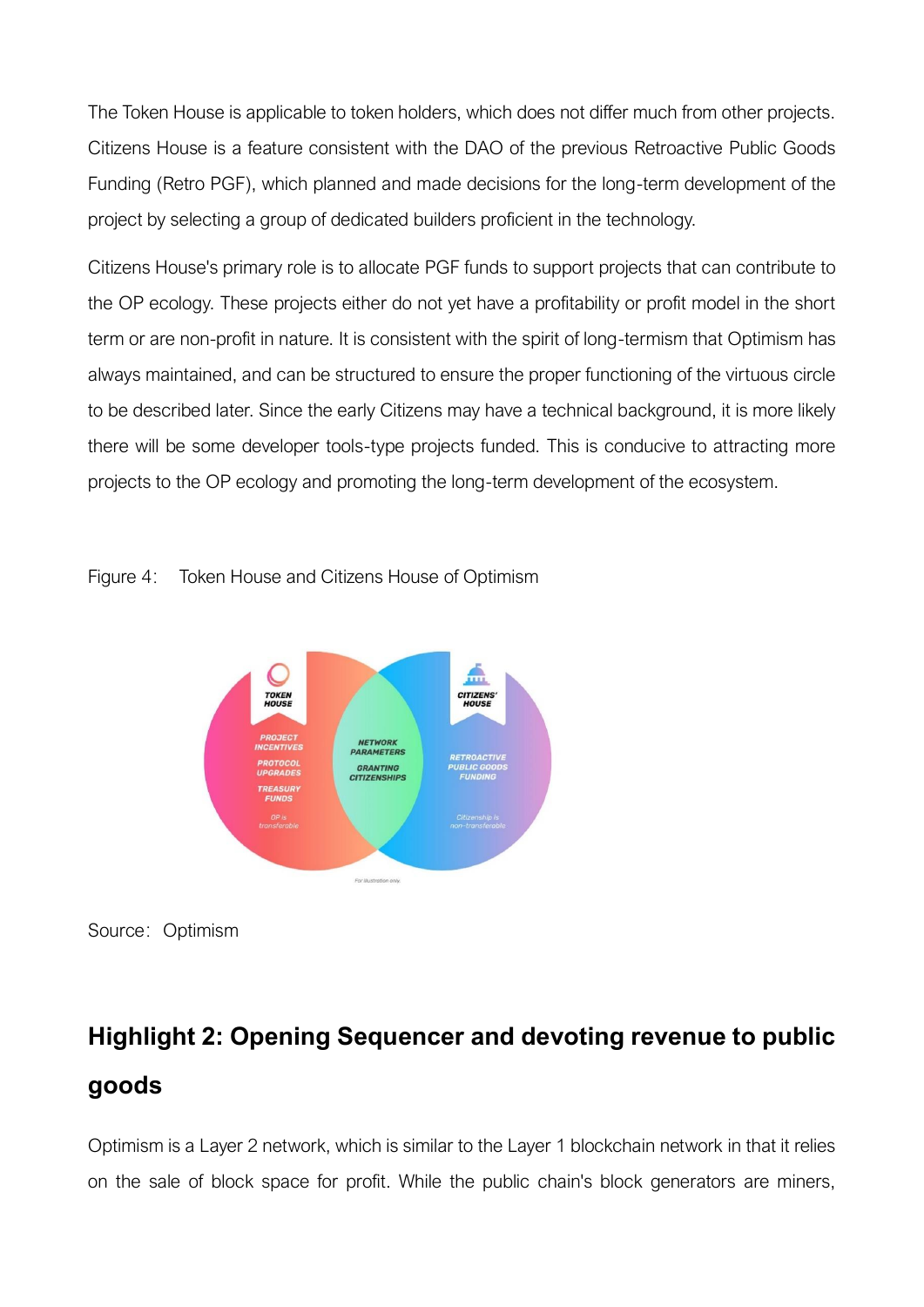The Token House is applicable to token holders, which does not differ much from other projects. Citizens House is a feature consistent with the DAO of the previous Retroactive Public Goods Funding (Retro PGF), which planned and made decisions for the long-term development of the project by selecting a group of dedicated builders proficient in the technology.

Citizens House's primary role is to allocate PGF funds to support projects that can contribute to the OP ecology. These projects either do not yet have a profitability or profit model in the short term or are non-profit in nature. It is consistent with the spirit of long-termism that Optimism has always maintained, and can be structured to ensure the proper functioning of the virtuous circle to be described later. Since the early Citizens may have a technical background, it is more likely there will be some developer tools-type projects funded. This is conducive to attracting more projects to the OP ecology and promoting the long-term development of the ecosystem.







# **Highlight 2: Opening Sequencer and devoting revenue to public goods**

Optimism is a Layer 2 network, which is similar to the Layer 1 blockchain network in that it relies on the sale of block space for profit. While the public chain's block generators are miners,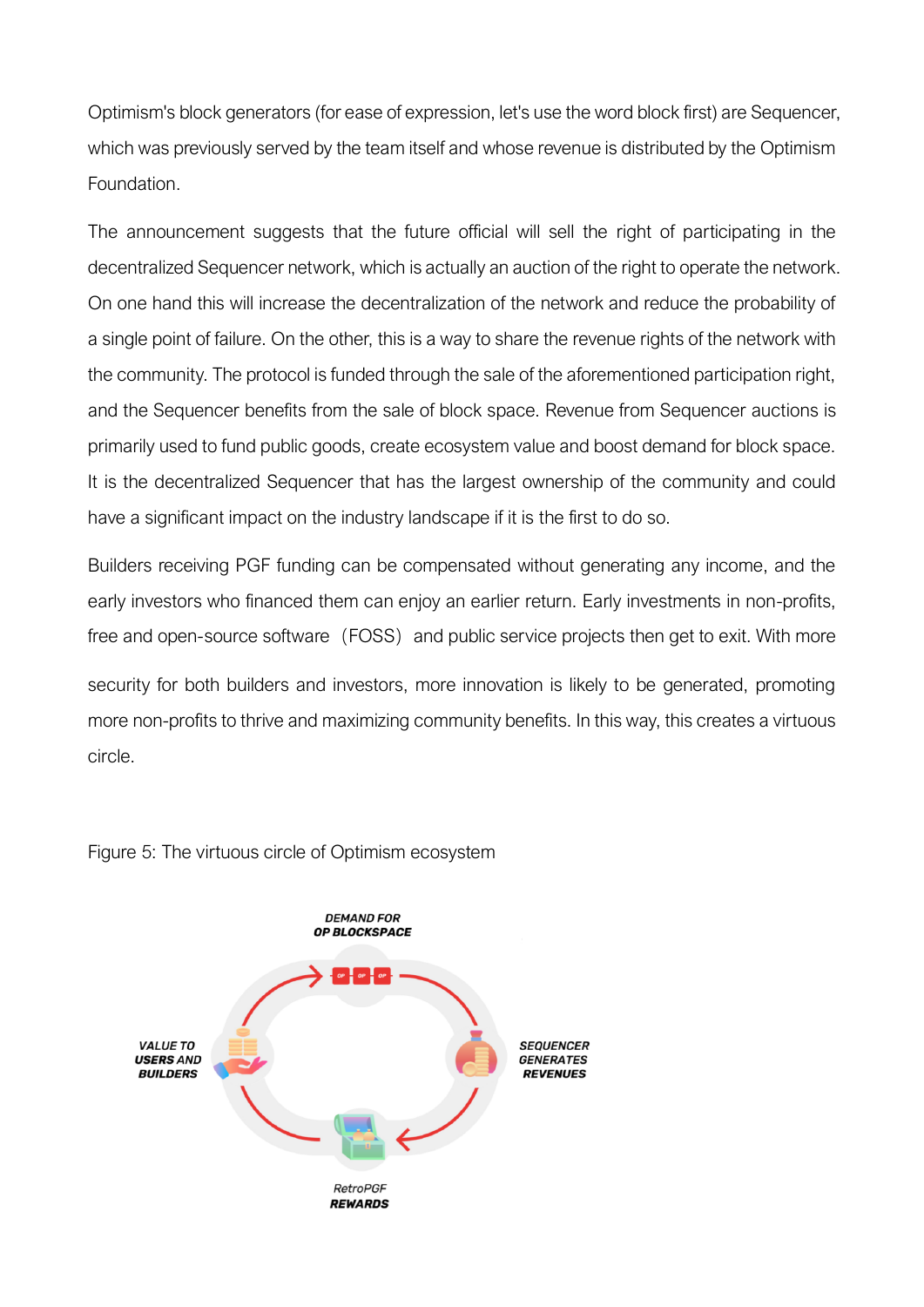Optimism's block generators (for ease of expression, let's use the word block first) are Sequencer, which was previously served by the team itself and whose revenue is distributed by the Optimism Foundation.

The announcement suggests that the future official will sell the right of participating in the decentralized Sequencer network, which is actually an auction of the right to operate the network. On one hand this will increase the decentralization of the network and reduce the probability of a single point of failure. On the other, this is a way to share the revenue rights of the network with the community. The protocol is funded through the sale of the aforementioned participation right, and the Sequencer benefits from the sale of block space. Revenue from Sequencer auctions is primarily used to fund public goods, create ecosystem value and boost demand for block space. It is the decentralized Sequencer that has the largest ownership of the community and could have a significant impact on the industry landscape if it is the first to do so.

Builders receiving PGF funding can be compensated without generating any income, and the early investors who financed them can enjoy an earlier return. Early investments in non-profits, free and open-source software (FOSS) and public service projects then get to exit. With more

security for both builders and investors, more innovation is likely to be generated, promoting more non-profits to thrive and maximizing community benefits. In this way, this creates a virtuous circle.



Figure 5: The virtuous circle of Optimism ecosystem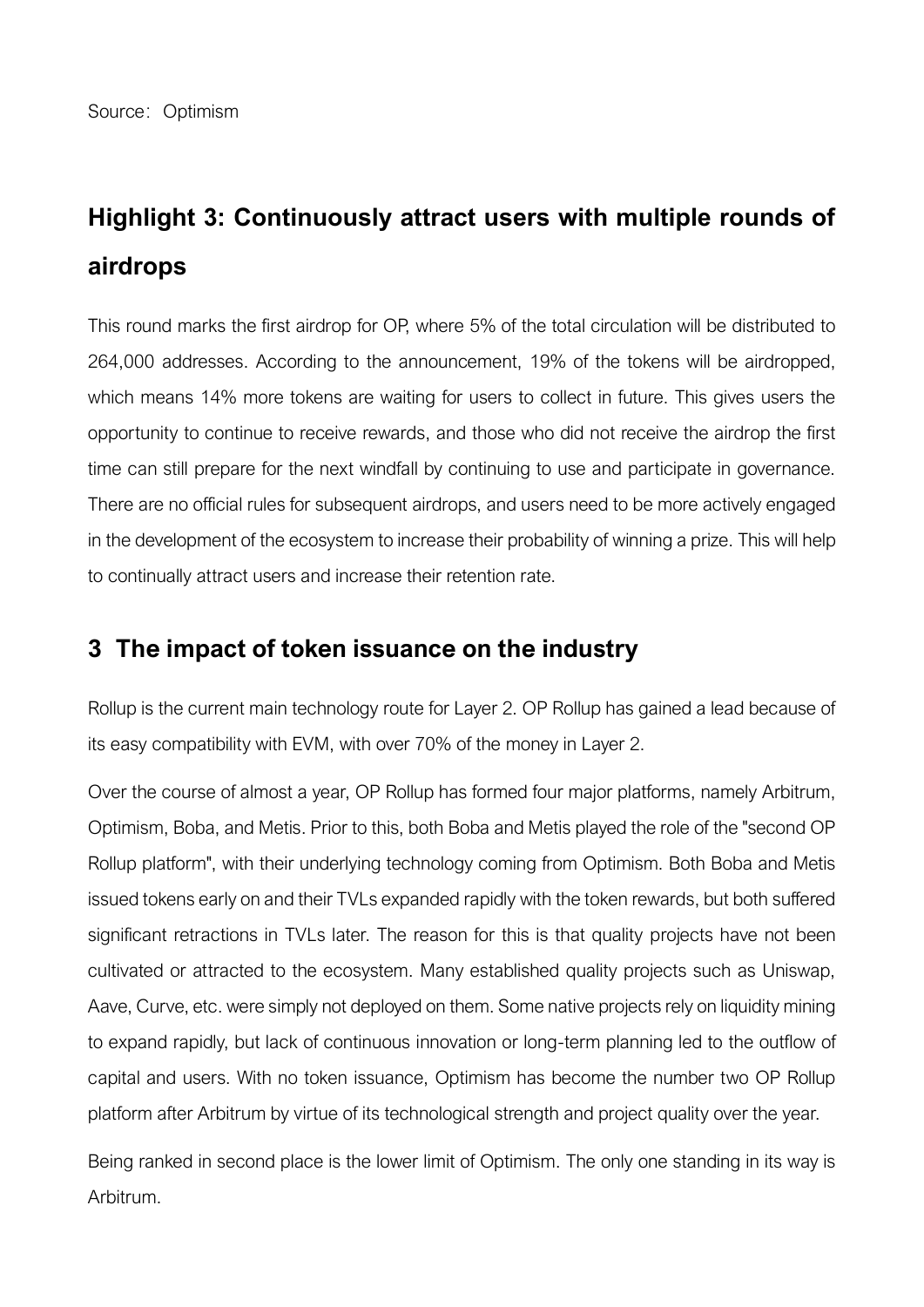# **Highlight 3: Continuously attract users with multiple rounds of airdrops**

This round marks the first airdrop for OP, where 5% of the total circulation will be distributed to 264,000 addresses. According to the announcement, 19% of the tokens will be airdropped, which means 14% more tokens are waiting for users to collect in future. This gives users the opportunity to continue to receive rewards, and those who did not receive the airdrop the first time can still prepare for the next windfall by continuing to use and participate in governance. There are no official rules for subsequent airdrops, and users need to be more actively engaged in the development of the ecosystem to increase their probability of winning a prize. This will help to continually attract users and increase their retention rate.

# **3 The impact of token issuance on the industry**

Rollup is the current main technology route for Layer 2. OP Rollup has gained a lead because of its easy compatibility with EVM, with over 70% of the money in Layer 2.

Over the course of almost a year, OP Rollup has formed four major platforms, namely Arbitrum, Optimism, Boba, and Metis. Prior to this, both Boba and Metis played the role of the "second OP Rollup platform", with their underlying technology coming from Optimism. Both Boba and Metis issued tokens early on and their TVLs expanded rapidly with the token rewards, but both suffered significant retractions in TVLs later. The reason for this is that quality projects have not been cultivated or attracted to the ecosystem. Many established quality projects such as Uniswap, Aave, Curve, etc. were simply not deployed on them. Some native projects rely on liquidity mining to expand rapidly, but lack of continuous innovation or long-term planning led to the outflow of capital and users. With no token issuance, Optimism has become the number two OP Rollup platform after Arbitrum by virtue of its technological strength and project quality over the year.

Being ranked in second place is the lower limit of Optimism. The only one standing in its way is Arbitrum.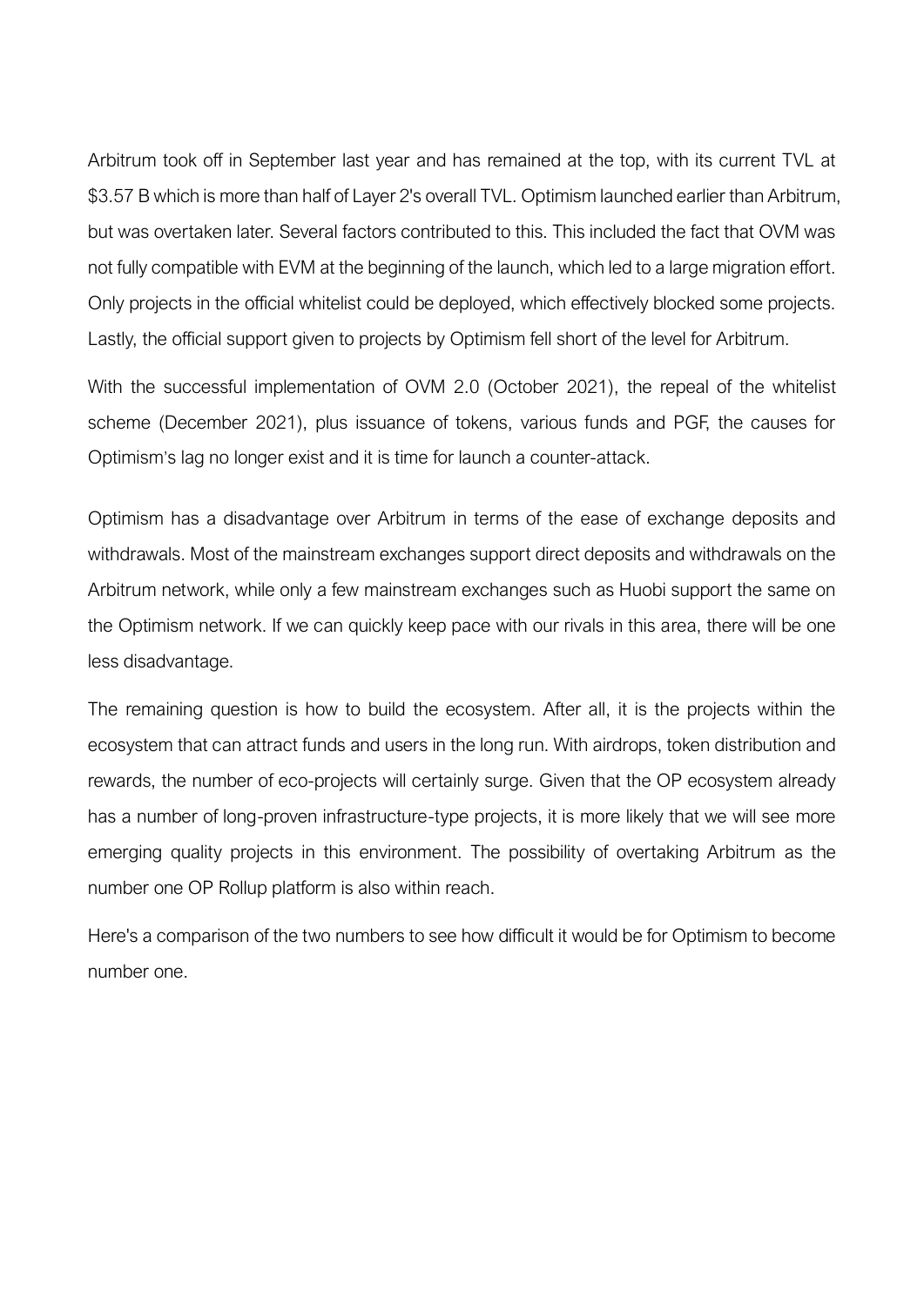Arbitrum took off in September last year and has remained at the top, with its current TVL at \$3.57 B which is more than half of Layer 2's overall TVL. Optimism launched earlier than Arbitrum, but was overtaken later. Several factors contributed to this. This included the fact that OVM was not fully compatible with EVM at the beginning of the launch, which led to a large migration effort. Only projects in the official whitelist could be deployed, which effectively blocked some projects. Lastly, the official support given to projects by Optimism fell short of the level for Arbitrum.

With the successful implementation of OVM 2.0 (October 2021), the repeal of the whitelist scheme (December 2021), plus issuance of tokens, various funds and PGF, the causes for Optimism's lag no longer exist and it is time for launch a counter-attack.

Optimism has a disadvantage over Arbitrum in terms of the ease of exchange deposits and withdrawals. Most of the mainstream exchanges support direct deposits and withdrawals on the Arbitrum network, while only a few mainstream exchanges such as Huobi support the same on the Optimism network. If we can quickly keep pace with our rivals in this area, there will be one less disadvantage.

The remaining question is how to build the ecosystem. After all, it is the projects within the ecosystem that can attract funds and users in the long run. With airdrops, token distribution and rewards, the number of eco-projects will certainly surge. Given that the OP ecosystem already has a number of long-proven infrastructure-type projects, it is more likely that we will see more emerging quality projects in this environment. The possibility of overtaking Arbitrum as the number one OP Rollup platform is also within reach.

Here's a comparison of the two numbers to see how difficult it would be for Optimism to become number one.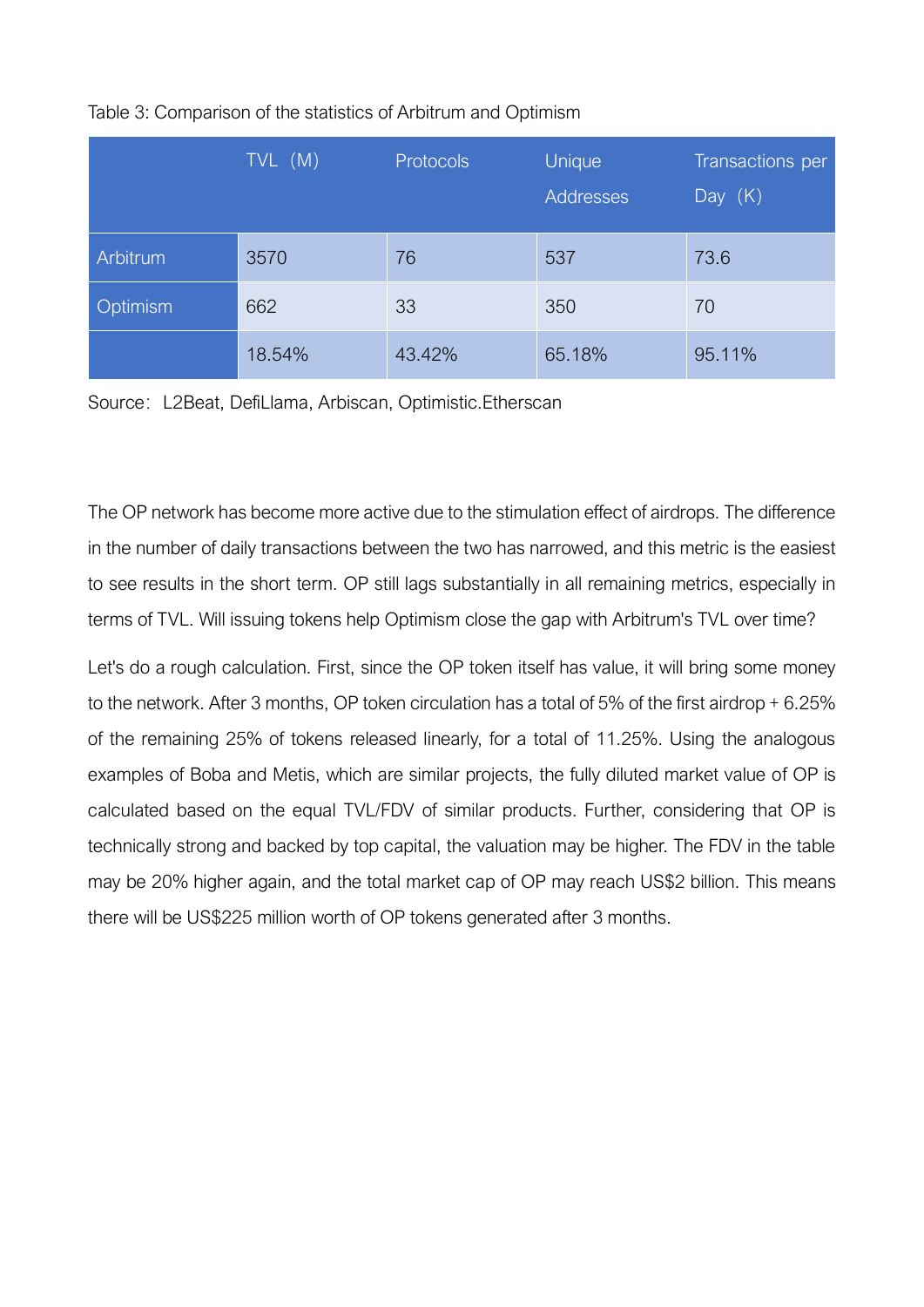|          | $TVL$ (M) | <b>Protocols</b> | Unique<br>Addresses | Transactions per<br>Day $(K)$ |
|----------|-----------|------------------|---------------------|-------------------------------|
| Arbitrum | 3570      | 76               | 537                 | 73.6                          |
| Optimism | 662       | 33               | 350                 | 70                            |
|          | 18.54%    | 43.42%           | 65.18%              | 95.11%                        |

### Table 3: Comparison of the statistics of Arbitrum and Optimism

Source: L2Beat, DefiLlama, Arbiscan, Optimistic.Etherscan

The OP network has become more active due to the stimulation effect of airdrops. The difference in the number of daily transactions between the two has narrowed, and this metric is the easiest to see results in the short term. OP still lags substantially in all remaining metrics, especially in terms of TVL. Will issuing tokens help Optimism close the gap with Arbitrum's TVL over time?

Let's do a rough calculation. First, since the OP token itself has value, it will bring some money to the network. After 3 months, OP token circulation has a total of 5% of the first airdrop + 6.25% of the remaining 25% of tokens released linearly, for a total of 11.25%. Using the analogous examples of Boba and Metis, which are similar projects, the fully diluted market value of OP is calculated based on the equal TVL/FDV of similar products. Further, considering that OP is technically strong and backed by top capital, the valuation may be higher. The FDV in the table may be 20% higher again, and the total market cap of OP may reach US\$2 billion. This means there will be US\$225 million worth of OP tokens generated after 3 months.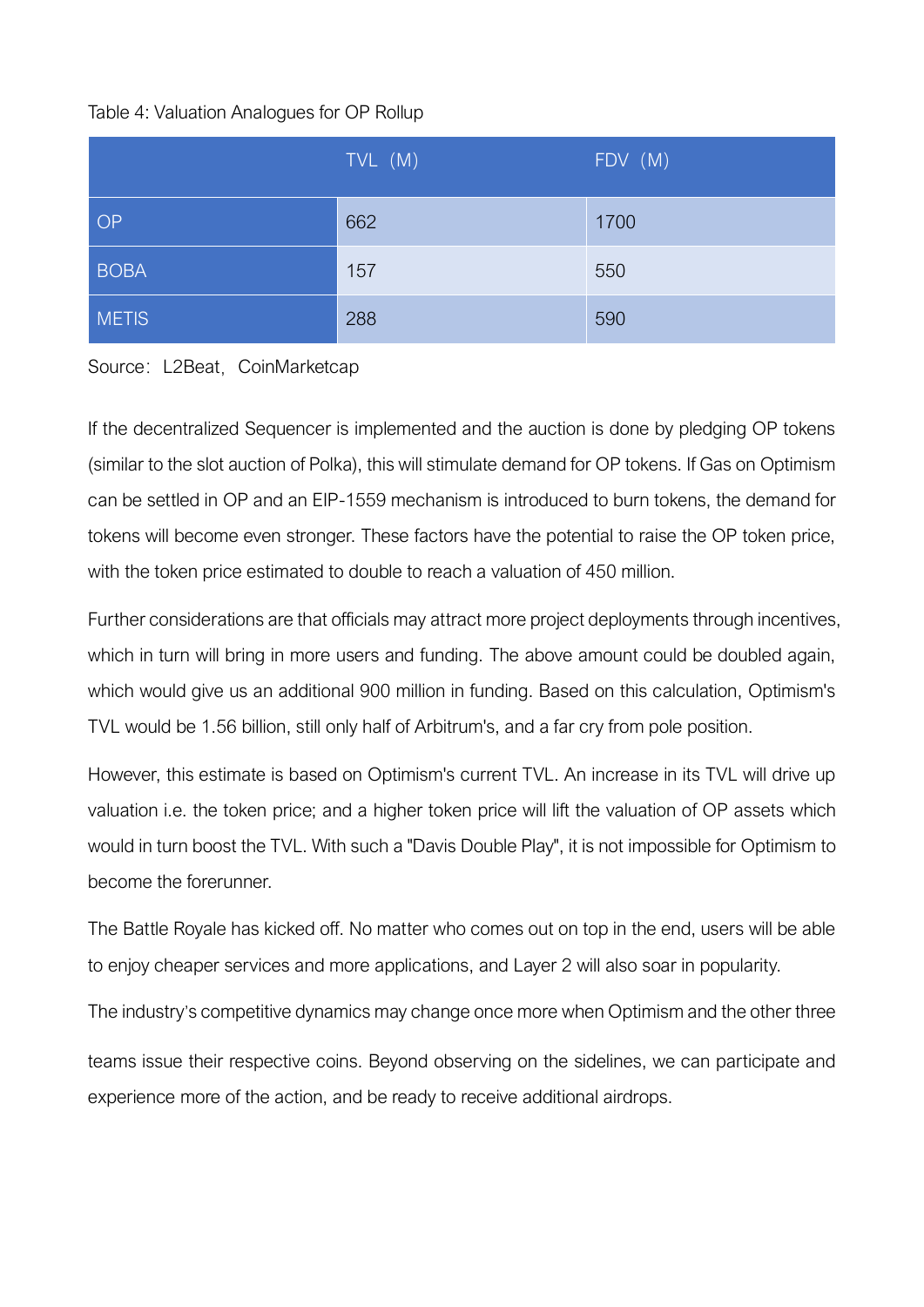### Table 4: Valuation Analogues for OP Rollup

|              | TVL (M) | FDV (M) |
|--------------|---------|---------|
| OP           | 662     | 1700    |
| <b>BOBA</b>  | 157     | 550     |
| <b>METIS</b> | 288     | 590     |



If the decentralized Sequencer is implemented and the auction is done by pledging OP tokens (similar to the slot auction of Polka), this will stimulate demand for OP tokens. If Gas on Optimism can be settled in OP and an EIP-1559 mechanism is introduced to burn tokens, the demand for tokens will become even stronger. These factors have the potential to raise the OP token price, with the token price estimated to double to reach a valuation of 450 million.

Further considerations are that officials may attract more project deployments through incentives, which in turn will bring in more users and funding. The above amount could be doubled again, which would give us an additional 900 million in funding. Based on this calculation, Optimism's TVL would be 1.56 billion, still only half of Arbitrum's, and a far cry from pole position.

However, this estimate is based on Optimism's current TVL. An increase in its TVL will drive up valuation i.e. the token price; and a higher token price will lift the valuation of OP assets which would in turn boost the TVL. With such a "Davis Double Play", it is not impossible for Optimism to become the forerunner.

The Battle Royale has kicked off. No matter who comes out on top in the end, users will be able to enjoy cheaper services and more applications, and Layer 2 will also soar in popularity.

The industry's competitive dynamics may change once more when Optimism and the other three teams issue their respective coins. Beyond observing on the sidelines, we can participate and experience more of the action, and be ready to receive additional airdrops.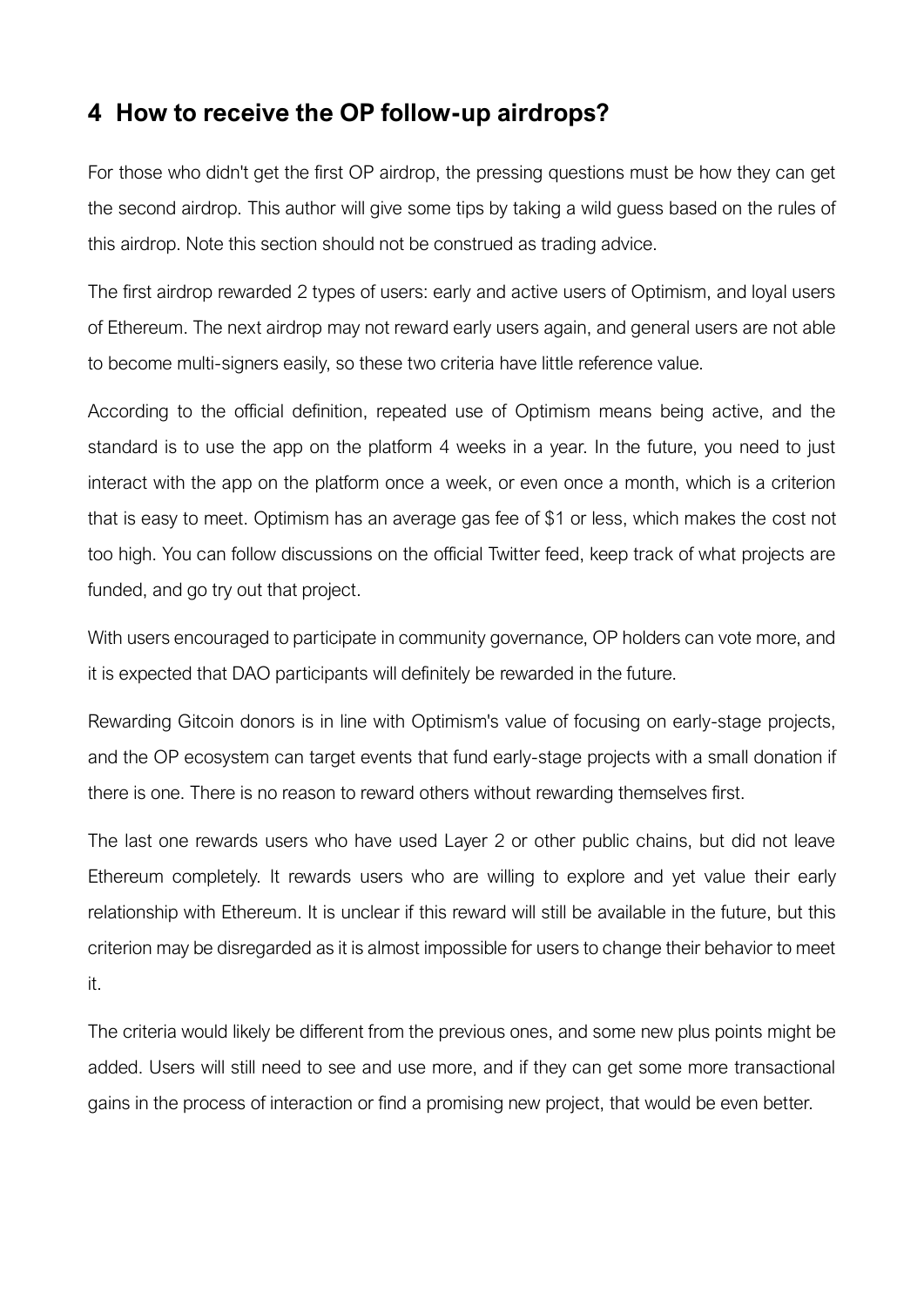## **4 How to receive the OP follow-up airdrops?**

For those who didn't get the first OP airdrop, the pressing questions must be how they can get the second airdrop. This author will give some tips by taking a wild guess based on the rules of this airdrop. Note this section should not be construed as trading advice.

The first airdrop rewarded 2 types of users: early and active users of Optimism, and loyal users of Ethereum. The next airdrop may not reward early users again, and general users are not able to become multi-signers easily, so these two criteria have little reference value.

According to the official definition, repeated use of Optimism means being active, and the standard is to use the app on the platform 4 weeks in a year. In the future, you need to just interact with the app on the platform once a week, or even once a month, which is a criterion that is easy to meet. Optimism has an average gas fee of \$1 or less, which makes the cost not too high. You can follow discussions on the official Twitter feed, keep track of what projects are funded, and go try out that project.

With users encouraged to participate in community governance, OP holders can vote more, and it is expected that DAO participants will definitely be rewarded in the future.

Rewarding Gitcoin donors is in line with Optimism's value of focusing on early-stage projects, and the OP ecosystem can target events that fund early-stage projects with a small donation if there is one. There is no reason to reward others without rewarding themselves first.

The last one rewards users who have used Layer 2 or other public chains, but did not leave Ethereum completely. It rewards users who are willing to explore and yet value their early relationship with Ethereum. It is unclear if this reward will still be available in the future, but this criterion may be disregarded as it is almost impossible for users to change their behavior to meet it.

The criteria would likely be different from the previous ones, and some new plus points might be added. Users will still need to see and use more, and if they can get some more transactional gains in the process of interaction or find a promising new project, that would be even better.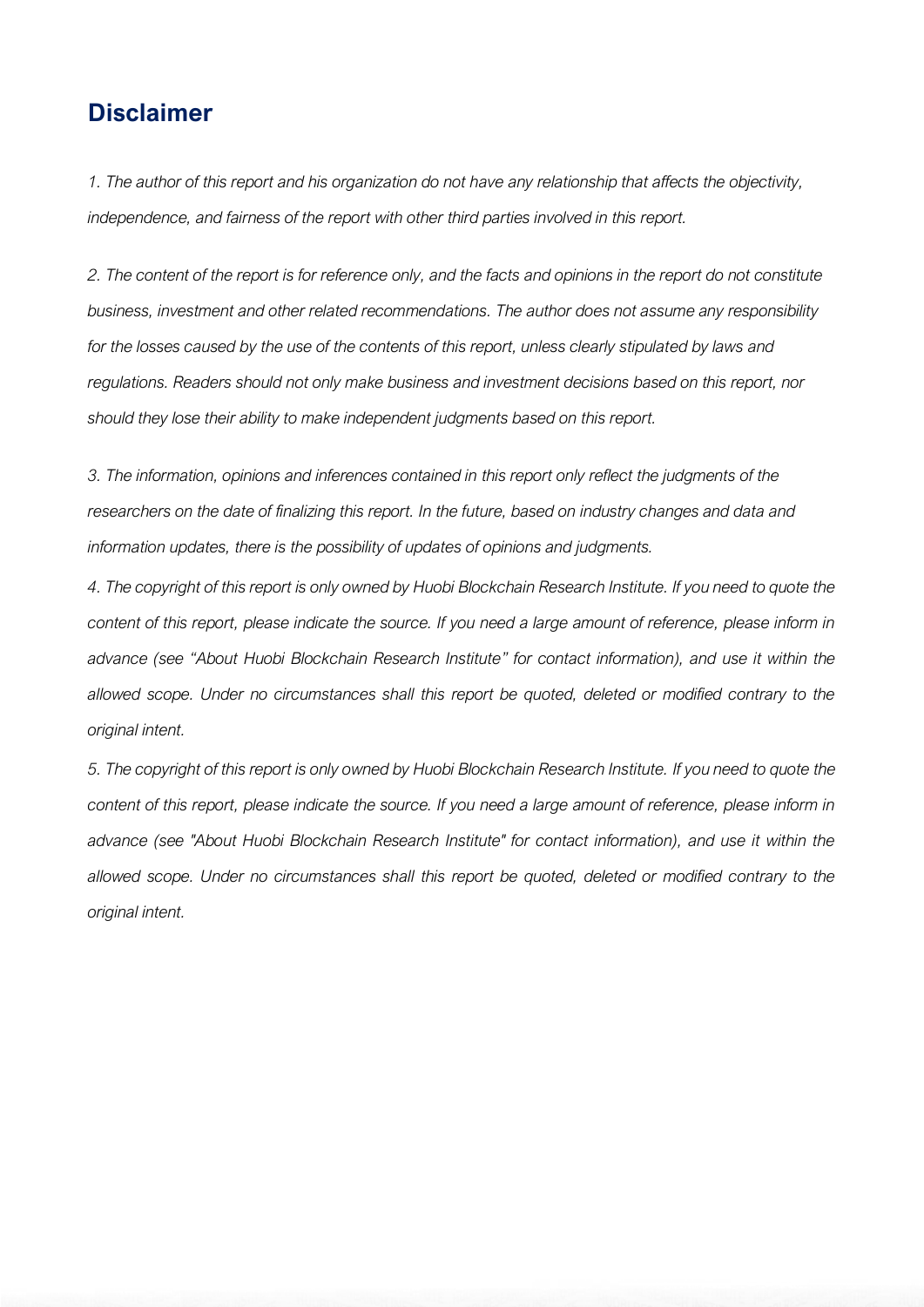# **Disclaimer**

*1. The author of this report and his organization do not have any relationship that affects the objectivity, independence, and fairness of the report with other third parties involved in this report.*

*2. The content of the report is for reference only, and the facts and opinions in the report do not constitute business, investment and other related recommendations. The author does not assume any responsibility for the losses caused by the use of the contents of this report, unless clearly stipulated by laws and regulations. Readers should not only make business and investment decisions based on this report, nor should they lose their ability to make independent judgments based on this report.*

*3. The information, opinions and inferences contained in this report only reflect the judgments of the researchers on the date of finalizing this report. In the future, based on industry changes and data and information updates, there is the possibility of updates of opinions and judgments.*

*4. The copyright of this report is only owned by Huobi Blockchain Research Institute. If you need to quote the content of this report, please indicate the source. If you need a large amount of reference, please inform in advance (see "About Huobi Blockchain Research Institute" for contact information), and use it within the allowed scope. Under no circumstances shall this report be quoted, deleted or modified contrary to the original intent.*

*5. The copyright of this report is only owned by Huobi Blockchain Research Institute. If you need to quote the*  content of this report, please indicate the source. If you need a large amount of reference, please inform in *advance (see "About Huobi Blockchain Research Institute" for contact information), and use it within the allowed scope. Under no circumstances shall this report be quoted, deleted or modified contrary to the original intent.*